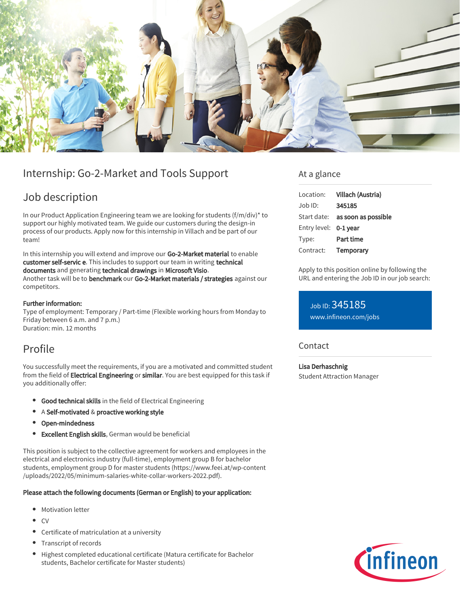

# Internship: Go-2-Market and Tools Support

# Job description

In our Product Application Engineering team we are looking for students (f/m/div)\* to support our highly motivated team. We guide our customers during the design-in process of our products. Apply now for this internship in Villach and be part of our team!

In this internship you will extend and improve our Go-2-Market material to enable customer self-servic e. This includes to support our team in writing technical documents and generating technical drawings in Microsoft Visio. Another task will be to benchmark our Go-2-Market materials / strategies against our competitors.

## Further information:

Type of employment: Temporary / Part-time (Flexible working hours from Monday to Friday between 6 a.m. and 7 p.m.) Duration: min. 12 months

## Profile

You successfully meet the requirements, if you are a motivated and committed student from the field of Electrical Engineering or similar. You are best equipped for this task if you additionally offer:

- **Good technical skills** in the field of Electrical Engineering
- A Self-motivated & proactive working style
- Open-mindedness
- Excellent English skills, German would be beneficial

This position is subject to the collective agreement for workers and employees in the electrical and electronics industry (full-time), employment group B for bachelor students, employment group D for master students (https://www.feei.at/wp-content /uploads/2022/05/minimum-salaries-white-collar-workers-2022.pdf).

## Please attach the following documents (German or English) to your application:

- Motivation letter
- $\bullet$  CV
- Certificate of matriculation at a university
- Transcript of records
- $\bullet$ Highest completed educational certificate (Matura certificate for Bachelor students, Bachelor certificate for Master students)

## At a glance

| Location:             | Villach (Austria)                      |
|-----------------------|----------------------------------------|
| $Job$ ID:             | 345185                                 |
|                       | Start date: <b>as soon as possible</b> |
| Entry level: 0-1 year |                                        |
| Type:                 | Part time                              |
| Contract:             | Temporary                              |

Apply to this position online by following the URL and entering the Job ID in our job search:

Job ID: 345185 [www.infineon.com/jobs](https://www.infineon.com/jobs)

## **Contact**

Lisa Derhaschnig Student Attraction Manager